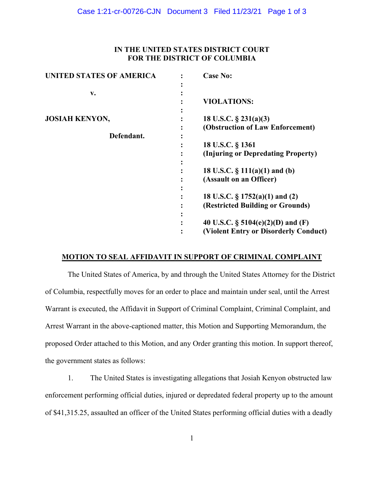# **IN THE UNITED STATES DISTRICT COURT FOR THE DISTRICT OF COLUMBIA**

| UNITED STATES OF AMERICA | <b>Case No:</b>                       |
|--------------------------|---------------------------------------|
|                          |                                       |
| v.                       |                                       |
|                          | <b>VIOLATIONS:</b>                    |
|                          |                                       |
| <b>JOSIAH KENYON,</b>    | 18 U.S.C. $\S$ 231(a)(3)              |
|                          | (Obstruction of Law Enforcement)      |
| Defendant.               |                                       |
|                          | 18 U.S.C. § 1361                      |
|                          | (Injuring or Depredating Property)    |
|                          |                                       |
|                          | 18 U.S.C. $\S$ 111(a)(1) and (b)      |
|                          | (Assault on an Officer)               |
|                          |                                       |
|                          | 18 U.S.C. $\S$ 1752(a)(1) and (2)     |
|                          | (Restricted Building or Grounds)      |
|                          |                                       |
|                          | 40 U.S.C. $\S$ 5104(e)(2)(D) and (F)  |
|                          | (Violent Entry or Disorderly Conduct) |

### **MOTION TO SEAL AFFIDAVIT IN SUPPORT OF CRIMINAL COMPLAINT**

The United States of America, by and through the United States Attorney for the District of Columbia, respectfully moves for an order to place and maintain under seal, until the Arrest Warrant is executed, the Affidavit in Support of Criminal Complaint, Criminal Complaint, and Arrest Warrant in the above-captioned matter, this Motion and Supporting Memorandum, the proposed Order attached to this Motion, and any Order granting this motion. In support thereof, the government states as follows:

1. The United States is investigating allegations that Josiah Kenyon obstructed law enforcement performing official duties, injured or depredated federal property up to the amount of \$41,315.25, assaulted an officer of the United States performing official duties with a deadly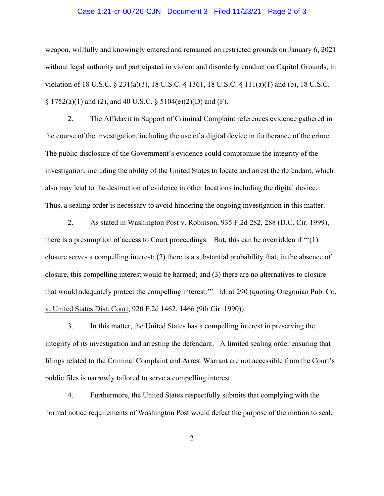### Case 1:21-cr-00726-CJN Document 3 Filed 11/23/21 Page 2 of 3

weapon, willfully and knowingly entered and remained on restricted grounds on January 6, 2021 without legal authority and participated in violent and disorderly conduct on Capitol Grounds, in violation of 18 U.S.C. § 231(a)(3), 18 U.S.C. § 1361, 18 U.S.C. § 111(a)(1) and (b), 18 U.S.C.  $\S 1752(a)(1)$  and (2), and 40 U.S.C.  $\S 5104(e)(2)(D)$  and (F).

2. The Affidavit in Support of Criminal Complaint references evidence gathered in the course of the investigation, including the use of a digital device in furtherance of the crime. The public disclosure of the Government's evidence could compromise the integrity of the investigation, including the ability of the United States to locate and arrest the defendant, which also may lead to the destruction of evidence in other locations including the digital device. Thus, a sealing order is necessary to avoid hindering the ongoing investigation in this matter.

2. As stated in Washington Post v. Robinson, 935 F.2d 282, 288 (D.C. Cir. 1999), there is a presumption of access to Court proceedings. But, this can be overridden if "'(1) closure serves a compelling interest; (2) there is a substantial probability that, in the absence of closure, this compelling interest would be harmed; and (3) there are no alternatives to closure that would adequately protect the compelling interest." Id. at 290 (quoting Oregonian Pub. Co. v. United States Dist. Court, 920 F.2d 1462, 1466 (9th Cir. 1990)).

3. In this matter, the United States has a compelling interest in preserving the integrity of its investigation and arresting the defendant. A limited sealing order ensuring that filings related to the Criminal Complaint and Arrest Warrant are not accessible from the Court's public files is narrowly tailored to serve a compelling interest.

4. Furthermore, the United States respectfully submits that complying with the normal notice requirements of Washington Post would defeat the purpose of the motion to seal.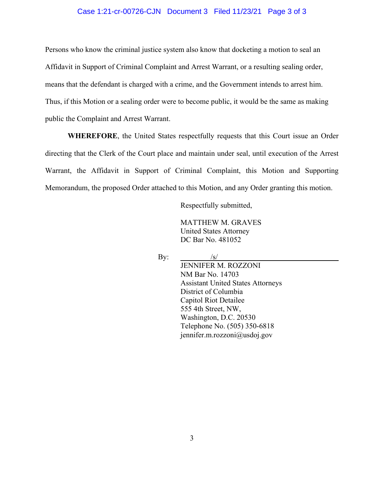### Case 1:21-cr-00726-CJN Document 3 Filed 11/23/21 Page 3 of 3

Persons who know the criminal justice system also know that docketing a motion to seal an Affidavit in Support of Criminal Complaint and Arrest Warrant, or a resulting sealing order, means that the defendant is charged with a crime, and the Government intends to arrest him. Thus, if this Motion or a sealing order were to become public, it would be the same as making public the Complaint and Arrest Warrant.

**WHEREFORE**, the United States respectfully requests that this Court issue an Order directing that the Clerk of the Court place and maintain under seal, until execution of the Arrest Warrant, the Affidavit in Support of Criminal Complaint, this Motion and Supporting Memorandum, the proposed Order attached to this Motion, and any Order granting this motion.

Respectfully submitted,

MATTHEW M. GRAVES United States Attorney DC Bar No. 481052

By:  $\frac{1}{s}$ 

JENNIFER M. ROZZONI NM Bar No. 14703 Assistant United States Attorneys District of Columbia Capitol Riot Detailee 555 4th Street, NW, Washington, D.C. 20530 Telephone No. (505) 350-6818 jennifer.m.rozzoni@usdoj.gov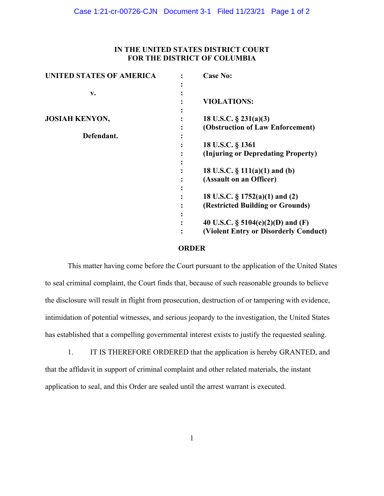# **IN THE UNITED STATES DISTRICT COURT FOR THE DISTRICT OF COLUMBIA**

| <b>UNITED STATES OF AMERICA</b> | <b>Case No:</b>                       |
|---------------------------------|---------------------------------------|
|                                 |                                       |
| v.                              |                                       |
|                                 | <b>VIOLATIONS:</b>                    |
|                                 |                                       |
| <b>JOSIAH KENYON,</b>           | 18 U.S.C. $\S$ 231(a)(3)              |
|                                 | (Obstruction of Law Enforcement)      |
| Defendant.                      |                                       |
|                                 | 18 U.S.C. § 1361                      |
|                                 | (Injuring or Depredating Property)    |
|                                 |                                       |
|                                 | 18 U.S.C. $\S$ 111(a)(1) and (b)      |
|                                 | (Assault on an Officer)               |
|                                 |                                       |
|                                 | 18 U.S.C. $\S 1752(a)(1)$ and (2)     |
|                                 | (Restricted Building or Grounds)      |
|                                 |                                       |
|                                 | 40 U.S.C. $\S$ 5104(e)(2)(D) and (F)  |
|                                 | (Violent Entry or Disorderly Conduct) |
|                                 |                                       |

### **ORDER**

This matter having come before the Court pursuant to the application of the United States to seal criminal complaint, the Court finds that, because of such reasonable grounds to believe the disclosure will result in flight from prosecution, destruction of or tampering with evidence, intimidation of potential witnesses, and serious jeopardy to the investigation, the United States has established that a compelling governmental interest exists to justify the requested sealing.

1. IT IS THEREFORE ORDERED that the application is hereby GRANTED, and that the affidavit in support of criminal complaint and other related materials, the instant application to seal, and this Order are sealed until the arrest warrant is executed.